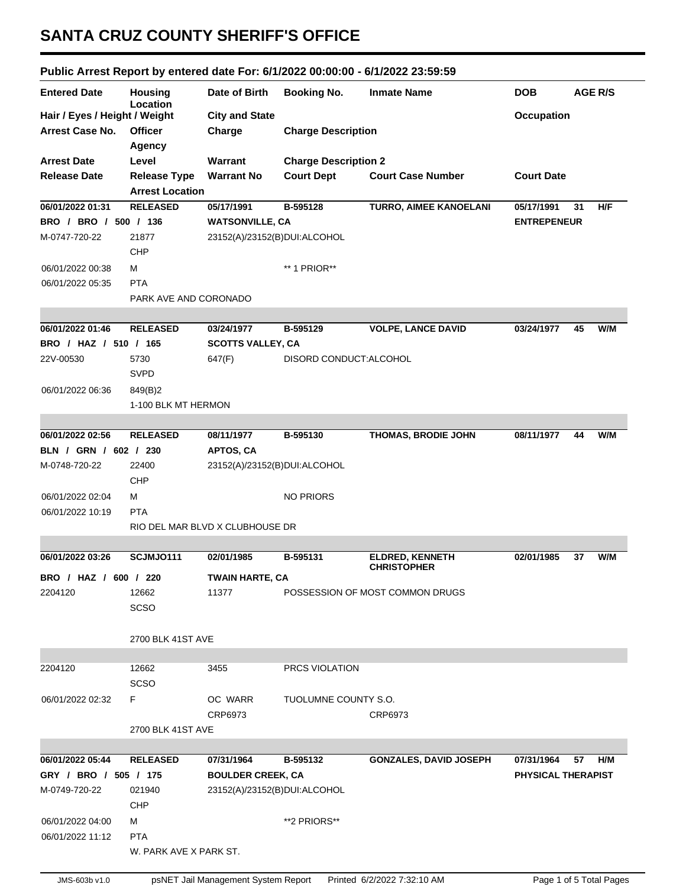## **SANTA CRUZ COUNTY SHERIFF'S OFFICE**

## **Public Arrest Report by entered date For: 6/1/2022 00:00:00 - 6/1/2022 23:59:59**

| <b>Entered Date</b>                                     | <b>Housing</b><br>Location | Date of Birth                   | <b>Booking No.</b>          | <b>Inmate Name</b>              | <b>DOB</b>                | <b>AGE R/S</b> |
|---------------------------------------------------------|----------------------------|---------------------------------|-----------------------------|---------------------------------|---------------------------|----------------|
| Hair / Eyes / Height / Weight                           |                            | <b>City and State</b>           |                             |                                 | Occupation                |                |
| <b>Arrest Case No.</b>                                  | <b>Officer</b>             | Charge                          | <b>Charge Description</b>   |                                 |                           |                |
|                                                         | Agency                     |                                 |                             |                                 |                           |                |
| <b>Arrest Date</b>                                      | Level                      | <b>Warrant</b>                  | <b>Charge Description 2</b> |                                 |                           |                |
| <b>Release Date</b>                                     | <b>Release Type</b>        | <b>Warrant No</b>               | <b>Court Dept</b>           | <b>Court Case Number</b>        | <b>Court Date</b>         |                |
|                                                         | <b>Arrest Location</b>     |                                 |                             |                                 |                           |                |
| 06/01/2022 01:31                                        | <b>RELEASED</b>            | 05/17/1991                      | B-595128                    | <b>TURRO, AIMEE KANOELANI</b>   | 05/17/1991                | 31<br>H/F      |
| BRO / BRO / 500 / 136                                   |                            | <b>WATSONVILLE, CA</b>          |                             |                                 | <b>ENTREPENEUR</b>        |                |
| M-0747-720-22                                           | 21877                      | 23152(A)/23152(B)DUI:ALCOHOL    |                             |                                 |                           |                |
|                                                         | <b>CHP</b>                 |                                 |                             |                                 |                           |                |
| 06/01/2022 00:38                                        | М                          |                                 | ** 1 PRIOR**                |                                 |                           |                |
| 06/01/2022 05:35                                        | <b>PTA</b>                 |                                 |                             |                                 |                           |                |
|                                                         | PARK AVE AND CORONADO      |                                 |                             |                                 |                           |                |
|                                                         |                            |                                 |                             |                                 |                           |                |
| 06/01/2022 01:46                                        | <b>RELEASED</b>            | 03/24/1977                      | B-595129                    | <b>VOLPE, LANCE DAVID</b>       | 03/24/1977                | W/M<br>45      |
| BRO / HAZ / 510 / 165                                   |                            | <b>SCOTTS VALLEY, CA</b>        |                             |                                 |                           |                |
| 22V-00530                                               | 5730                       | 647(F)                          | DISORD CONDUCT: ALCOHOL     |                                 |                           |                |
|                                                         | <b>SVPD</b>                |                                 |                             |                                 |                           |                |
| 06/01/2022 06:36                                        | 849(B)2                    |                                 |                             |                                 |                           |                |
|                                                         | 1-100 BLK MT HERMON        |                                 |                             |                                 |                           |                |
|                                                         |                            |                                 |                             |                                 |                           |                |
| 06/01/2022 02:56                                        | <b>RELEASED</b>            | 08/11/1977                      | B-595130                    | THOMAS, BRODIE JOHN             | 08/11/1977                | W/M<br>44      |
| BLN / GRN / 602 / 230                                   |                            | APTOS, CA                       |                             |                                 |                           |                |
| M-0748-720-22                                           | 22400                      | 23152(A)/23152(B)DUI:ALCOHOL    |                             |                                 |                           |                |
|                                                         | <b>CHP</b>                 |                                 |                             |                                 |                           |                |
| 06/01/2022 02:04                                        | м                          |                                 | <b>NO PRIORS</b>            |                                 |                           |                |
| 06/01/2022 10:19                                        | <b>PTA</b>                 |                                 |                             |                                 |                           |                |
|                                                         |                            | RIO DEL MAR BLVD X CLUBHOUSE DR |                             |                                 |                           |                |
|                                                         |                            |                                 |                             |                                 |                           |                |
| 06/01/2022 03:26                                        | SCJMJO111                  | 02/01/1985                      | B-595131                    | ELDRED, KENNETH                 | 02/01/1985                | W/M<br>37      |
| BRO / HAZ / 600 / 220                                   |                            | <b>TWAIN HARTE, CA</b>          |                             | <b>CHRISTOPHER</b>              |                           |                |
| 2204120                                                 | 12662                      | 11377                           |                             | POSSESSION OF MOST COMMON DRUGS |                           |                |
|                                                         | <b>SCSO</b>                |                                 |                             |                                 |                           |                |
|                                                         |                            |                                 |                             |                                 |                           |                |
|                                                         | 2700 BLK 41ST AVE          |                                 |                             |                                 |                           |                |
|                                                         |                            |                                 |                             |                                 |                           |                |
| 2204120                                                 | 12662                      | 3455                            | PRCS VIOLATION              |                                 |                           |                |
|                                                         | <b>SCSO</b>                |                                 |                             |                                 |                           |                |
| 06/01/2022 02:32                                        | F.                         | OC WARR                         | TUOLUMNE COUNTY S.O.        |                                 |                           |                |
|                                                         |                            | CRP6973                         |                             | CRP6973                         |                           |                |
|                                                         | 2700 BLK 41ST AVE          |                                 |                             |                                 |                           |                |
|                                                         |                            |                                 |                             |                                 |                           |                |
| 06/01/2022 05:44                                        | <b>RELEASED</b>            | 07/31/1964                      | B-595132                    | <b>GONZALES, DAVID JOSEPH</b>   | 07/31/1964                | H/M<br>57      |
| GRY / BRO / 505 / 175                                   |                            | <b>BOULDER CREEK, CA</b>        |                             |                                 | <b>PHYSICAL THERAPIST</b> |                |
| 23152(A)/23152(B)DUI:ALCOHOL<br>M-0749-720-22<br>021940 |                            |                                 |                             |                                 |                           |                |
|                                                         | CHP                        |                                 |                             |                                 |                           |                |
| 06/01/2022 04:00                                        | М                          |                                 | **2 PRIORS**                |                                 |                           |                |
| 06/01/2022 11:12                                        | <b>PTA</b>                 |                                 |                             |                                 |                           |                |
|                                                         |                            | W. PARK AVE X PARK ST.          |                             |                                 |                           |                |
|                                                         |                            |                                 |                             |                                 |                           |                |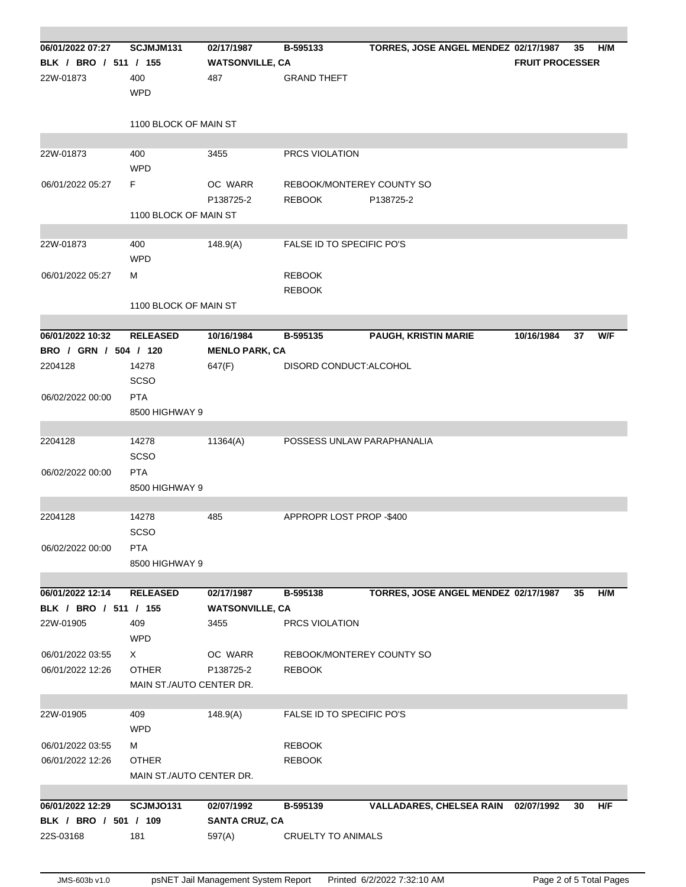| 06/01/2022 07:27      | SCJMJM131                    | 02/17/1987             | B-595133                   | TORRES, JOSE ANGEL MENDEZ 02/17/1987 |                        | 35 | H/M |
|-----------------------|------------------------------|------------------------|----------------------------|--------------------------------------|------------------------|----|-----|
| BLK / BRO / 511 / 155 |                              | <b>WATSONVILLE, CA</b> |                            |                                      | <b>FRUIT PROCESSER</b> |    |     |
| 22W-01873             | 400                          | 487                    | <b>GRAND THEFT</b>         |                                      |                        |    |     |
|                       | <b>WPD</b>                   |                        |                            |                                      |                        |    |     |
|                       | 1100 BLOCK OF MAIN ST        |                        |                            |                                      |                        |    |     |
|                       |                              |                        |                            |                                      |                        |    |     |
| 22W-01873             | 400                          | 3455                   | <b>PRCS VIOLATION</b>      |                                      |                        |    |     |
|                       | <b>WPD</b>                   |                        |                            |                                      |                        |    |     |
| 06/01/2022 05:27      | F.                           | OC WARR                | REBOOK/MONTEREY COUNTY SO  |                                      |                        |    |     |
|                       |                              | P138725-2              | <b>REBOOK</b>              | P138725-2                            |                        |    |     |
|                       | 1100 BLOCK OF MAIN ST        |                        |                            |                                      |                        |    |     |
|                       |                              |                        | FALSE ID TO SPECIFIC PO'S  |                                      |                        |    |     |
| 22W-01873             | 400<br><b>WPD</b>            | 148.9(A)               |                            |                                      |                        |    |     |
| 06/01/2022 05:27      | м                            |                        | <b>REBOOK</b>              |                                      |                        |    |     |
|                       |                              |                        | <b>REBOOK</b>              |                                      |                        |    |     |
|                       | 1100 BLOCK OF MAIN ST        |                        |                            |                                      |                        |    |     |
|                       |                              |                        |                            |                                      |                        |    |     |
| 06/01/2022 10:32      | <b>RELEASED</b>              | 10/16/1984             | B-595135                   | <b>PAUGH, KRISTIN MARIE</b>          | 10/16/1984             | 37 | W/F |
| BRO / GRN / 504 / 120 |                              | <b>MENLO PARK, CA</b>  |                            |                                      |                        |    |     |
| 2204128               | 14278                        | 647(F)                 | DISORD CONDUCT: ALCOHOL    |                                      |                        |    |     |
|                       | SCSO                         |                        |                            |                                      |                        |    |     |
| 06/02/2022 00:00      | <b>PTA</b>                   |                        |                            |                                      |                        |    |     |
|                       | 8500 HIGHWAY 9               |                        |                            |                                      |                        |    |     |
|                       |                              |                        |                            |                                      |                        |    |     |
| 2204128               | 14278                        | 11364(A)               | POSSESS UNLAW PARAPHANALIA |                                      |                        |    |     |
|                       | <b>SCSO</b>                  |                        |                            |                                      |                        |    |     |
| 06/02/2022 00:00      | <b>PTA</b>                   |                        |                            |                                      |                        |    |     |
|                       | 8500 HIGHWAY 9               |                        |                            |                                      |                        |    |     |
|                       |                              |                        |                            |                                      |                        |    |     |
| 2204128               | 14278                        | 485                    | APPROPR LOST PROP -\$400   |                                      |                        |    |     |
|                       | <b>SCSO</b>                  |                        |                            |                                      |                        |    |     |
| 06/02/2022 00:00      | <b>PTA</b><br>8500 HIGHWAY 9 |                        |                            |                                      |                        |    |     |
|                       |                              |                        |                            |                                      |                        |    |     |
| 06/01/2022 12:14      | <b>RELEASED</b>              | 02/17/1987             | B-595138                   | TORRES, JOSE ANGEL MENDEZ 02/17/1987 |                        | 35 | H/M |
| BLK / BRO / 511 / 155 |                              | <b>WATSONVILLE, CA</b> |                            |                                      |                        |    |     |
| 22W-01905             | 409                          | 3455                   | PRCS VIOLATION             |                                      |                        |    |     |
|                       | <b>WPD</b>                   |                        |                            |                                      |                        |    |     |
| 06/01/2022 03:55      | X                            | OC WARR                | REBOOK/MONTEREY COUNTY SO  |                                      |                        |    |     |
| 06/01/2022 12:26      | <b>OTHER</b>                 | P138725-2              | <b>REBOOK</b>              |                                      |                        |    |     |
|                       | MAIN ST./AUTO CENTER DR.     |                        |                            |                                      |                        |    |     |
|                       |                              |                        |                            |                                      |                        |    |     |
| 22W-01905             | 409                          | 148.9(A)               | FALSE ID TO SPECIFIC PO'S  |                                      |                        |    |     |
|                       | <b>WPD</b>                   |                        |                            |                                      |                        |    |     |
| 06/01/2022 03:55      | м                            |                        | <b>REBOOK</b>              |                                      |                        |    |     |
| 06/01/2022 12:26      | <b>OTHER</b>                 |                        | <b>REBOOK</b>              |                                      |                        |    |     |
|                       | MAIN ST./AUTO CENTER DR.     |                        |                            |                                      |                        |    |     |
| 06/01/2022 12:29      | SCJMJO131                    | 02/07/1992             | B-595139                   | VALLADARES, CHELSEA RAIN 02/07/1992  |                        | 30 | H/F |
| BLK / BRO / 501 / 109 |                              | <b>SANTA CRUZ, CA</b>  |                            |                                      |                        |    |     |
| 22S-03168             | 181                          | 597(A)                 | <b>CRUELTY TO ANIMALS</b>  |                                      |                        |    |     |
|                       |                              |                        |                            |                                      |                        |    |     |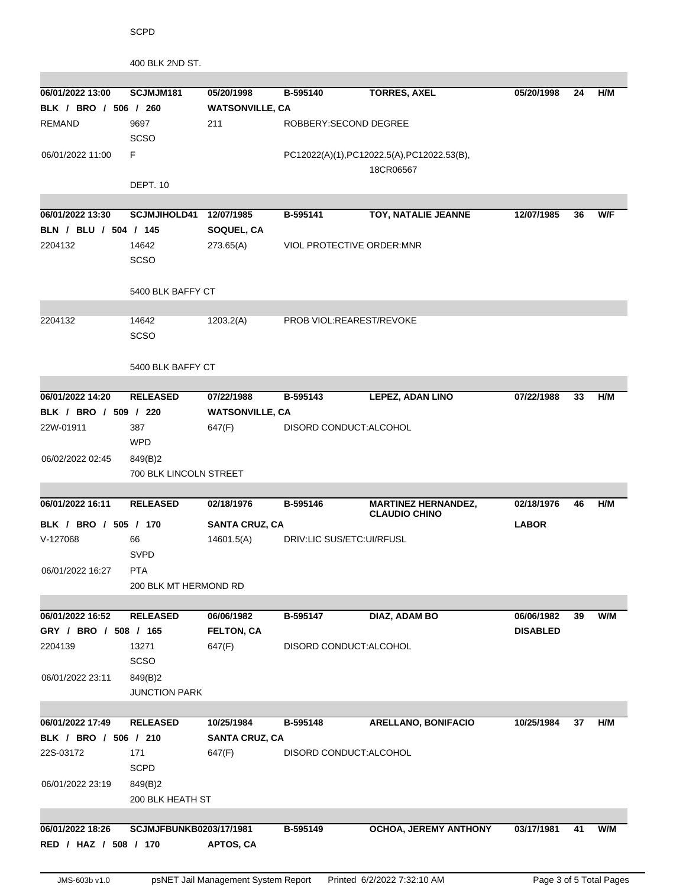| 400 BLK 2ND ST. |  |
|-----------------|--|
|-----------------|--|

| 06/01/2022 13:00      | SCJMJM181               | 05/20/1998             | B-595140                          | <b>TORRES, AXEL</b>                       | 05/20/1998      | 24 | H/M |
|-----------------------|-------------------------|------------------------|-----------------------------------|-------------------------------------------|-----------------|----|-----|
| BLK / BRO / 506 / 260 |                         | <b>WATSONVILLE, CA</b> |                                   |                                           |                 |    |     |
| <b>REMAND</b>         | 9697                    | 211                    | ROBBERY: SECOND DEGREE            |                                           |                 |    |     |
|                       | SCSO                    |                        |                                   |                                           |                 |    |     |
| 06/01/2022 11:00      | F                       |                        |                                   | PC12022(A)(1),PC12022.5(A),PC12022.53(B), |                 |    |     |
|                       | DEPT. 10                |                        |                                   | 18CR06567                                 |                 |    |     |
|                       |                         |                        |                                   |                                           |                 |    |     |
| 06/01/2022 13:30      | SCJMJIHOLD41 12/07/1985 |                        | B-595141                          | TOY, NATALIE JEANNE                       | 12/07/1985      | 36 | W/F |
| BLN / BLU / 504 / 145 |                         | SOQUEL, CA             |                                   |                                           |                 |    |     |
| 2204132               | 14642                   | 273.65(A)              | <b>VIOL PROTECTIVE ORDER: MNR</b> |                                           |                 |    |     |
|                       | <b>SCSO</b>             |                        |                                   |                                           |                 |    |     |
|                       |                         |                        |                                   |                                           |                 |    |     |
|                       | 5400 BLK BAFFY CT       |                        |                                   |                                           |                 |    |     |
|                       |                         |                        |                                   |                                           |                 |    |     |
| 2204132               | 14642                   | 1203.2(A)              | PROB VIOL:REAREST/REVOKE          |                                           |                 |    |     |
|                       | <b>SCSO</b>             |                        |                                   |                                           |                 |    |     |
|                       |                         |                        |                                   |                                           |                 |    |     |
|                       | 5400 BLK BAFFY CT       |                        |                                   |                                           |                 |    |     |
| 06/01/2022 14:20      | <b>RELEASED</b>         | 07/22/1988             | B-595143                          | <b>LEPEZ, ADAN LINO</b>                   | 07/22/1988      | 33 | H/M |
| BLK / BRO / 509 / 220 |                         | <b>WATSONVILLE, CA</b> |                                   |                                           |                 |    |     |
| 22W-01911             | 387                     | 647(F)                 | DISORD CONDUCT: ALCOHOL           |                                           |                 |    |     |
|                       | <b>WPD</b>              |                        |                                   |                                           |                 |    |     |
| 06/02/2022 02:45      | 849(B)2                 |                        |                                   |                                           |                 |    |     |
|                       | 700 BLK LINCOLN STREET  |                        |                                   |                                           |                 |    |     |
|                       |                         |                        |                                   |                                           |                 |    |     |
| 06/01/2022 16:11      | <b>RELEASED</b>         | 02/18/1976             | B-595146                          | <b>MARTINEZ HERNANDEZ,</b>                | 02/18/1976      | 46 | H/M |
| BLK / BRO / 505 / 170 |                         | <b>SANTA CRUZ, CA</b>  |                                   | <b>CLAUDIO CHINO</b>                      | <b>LABOR</b>    |    |     |
| V-127068              | 66                      | 14601.5(A)             | DRIV:LIC SUS/ETC:UI/RFUSL         |                                           |                 |    |     |
|                       | <b>SVPD</b>             |                        |                                   |                                           |                 |    |     |
| 06/01/2022 16:27      | <b>PTA</b>              |                        |                                   |                                           |                 |    |     |
|                       | 200 BLK MT HERMOND RD   |                        |                                   |                                           |                 |    |     |
|                       |                         |                        |                                   |                                           |                 |    |     |
| 06/01/2022 16:52      | <b>RELEASED</b>         | 06/06/1982             | B-595147                          | DIAZ, ADAM BO                             | 06/06/1982      | 39 | W/M |
| GRY / BRO / 508 / 165 |                         | <b>FELTON, CA</b>      |                                   |                                           | <b>DISABLED</b> |    |     |
| 2204139               | 13271                   | 647(F)                 | DISORD CONDUCT:ALCOHOL            |                                           |                 |    |     |
|                       | SCSO                    |                        |                                   |                                           |                 |    |     |
| 06/01/2022 23:11      | 849(B)2                 |                        |                                   |                                           |                 |    |     |
|                       | <b>JUNCTION PARK</b>    |                        |                                   |                                           |                 |    |     |
|                       |                         |                        |                                   |                                           |                 |    |     |
| 06/01/2022 17:49      | <b>RELEASED</b>         | 10/25/1984             | B-595148                          | <b>ARELLANO, BONIFACIO</b>                | 10/25/1984      | 37 | H/M |
| BLK / BRO / 506 / 210 |                         | <b>SANTA CRUZ, CA</b>  |                                   |                                           |                 |    |     |
| 22S-03172             | 171                     | 647(F)                 | DISORD CONDUCT: ALCOHOL           |                                           |                 |    |     |
|                       | <b>SCPD</b>             |                        |                                   |                                           |                 |    |     |
| 06/01/2022 23:19      | 849(B)2                 |                        |                                   |                                           |                 |    |     |
|                       | 200 BLK HEATH ST        |                        |                                   |                                           |                 |    |     |
|                       |                         |                        |                                   |                                           |                 |    |     |
| 06/01/2022 18:26      | SCJMJFBUNKB0203/17/1981 |                        | B-595149                          | <b>OCHOA, JEREMY ANTHONY</b>              | 03/17/1981      | 41 | W/M |
| RED / HAZ / 508 / 170 |                         | APTOS, CA              |                                   |                                           |                 |    |     |
|                       |                         |                        |                                   |                                           |                 |    |     |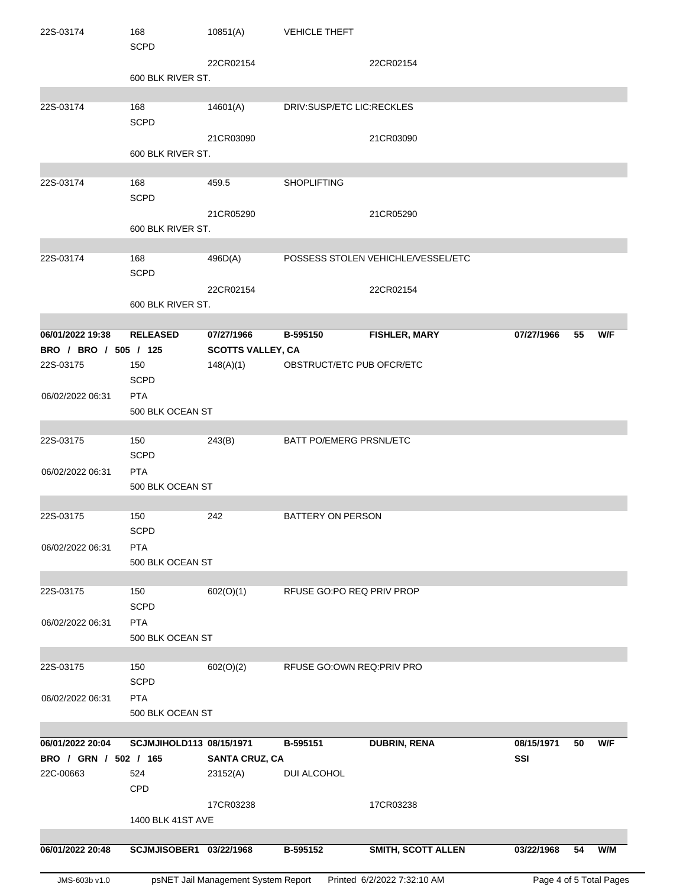| 22S-03174             | 168<br><b>SCPD</b>       | 10851(A)                            | <b>VEHICLE THEFT</b>           |                                    |            |    |                         |
|-----------------------|--------------------------|-------------------------------------|--------------------------------|------------------------------------|------------|----|-------------------------|
|                       |                          | 22CR02154                           |                                | 22CR02154                          |            |    |                         |
|                       | 600 BLK RIVER ST.        |                                     |                                |                                    |            |    |                         |
|                       |                          |                                     |                                |                                    |            |    |                         |
| 22S-03174             | 168                      | 14601(A)                            | DRIV:SUSP/ETC LIC:RECKLES      |                                    |            |    |                         |
|                       | <b>SCPD</b>              |                                     |                                |                                    |            |    |                         |
|                       |                          | 21CR03090                           |                                | 21CR03090                          |            |    |                         |
|                       | 600 BLK RIVER ST.        |                                     |                                |                                    |            |    |                         |
|                       |                          |                                     |                                |                                    |            |    |                         |
| 22S-03174             | 168                      | 459.5                               | <b>SHOPLIFTING</b>             |                                    |            |    |                         |
|                       | <b>SCPD</b>              |                                     |                                |                                    |            |    |                         |
|                       |                          | 21CR05290                           |                                | 21CR05290                          |            |    |                         |
|                       | 600 BLK RIVER ST.        |                                     |                                |                                    |            |    |                         |
| 22S-03174             | 168                      | 496D(A)                             |                                | POSSESS STOLEN VEHICHLE/VESSEL/ETC |            |    |                         |
|                       | <b>SCPD</b>              |                                     |                                |                                    |            |    |                         |
|                       |                          | 22CR02154                           |                                | 22CR02154                          |            |    |                         |
|                       | 600 BLK RIVER ST.        |                                     |                                |                                    |            |    |                         |
|                       |                          |                                     |                                |                                    |            |    |                         |
| 06/01/2022 19:38      | <b>RELEASED</b>          | 07/27/1966                          | B-595150                       | <b>FISHLER, MARY</b>               | 07/27/1966 | 55 | W/F                     |
| BRO / BRO / 505 / 125 |                          | <b>SCOTTS VALLEY, CA</b>            |                                |                                    |            |    |                         |
| 22S-03175             | 150                      | 148(A)(1)                           |                                | OBSTRUCT/ETC PUB OFCR/ETC          |            |    |                         |
|                       | <b>SCPD</b>              |                                     |                                |                                    |            |    |                         |
| 06/02/2022 06:31      | <b>PTA</b>               |                                     |                                |                                    |            |    |                         |
|                       | 500 BLK OCEAN ST         |                                     |                                |                                    |            |    |                         |
|                       |                          |                                     |                                |                                    |            |    |                         |
| 22S-03175             | 150                      | 243(B)                              | <b>BATT PO/EMERG PRSNL/ETC</b> |                                    |            |    |                         |
|                       | <b>SCPD</b>              |                                     |                                |                                    |            |    |                         |
| 06/02/2022 06:31      | <b>PTA</b>               |                                     |                                |                                    |            |    |                         |
|                       | 500 BLK OCEAN ST         |                                     |                                |                                    |            |    |                         |
| 22S-03175             | 150                      | 242                                 | <b>BATTERY ON PERSON</b>       |                                    |            |    |                         |
|                       | <b>SCPD</b>              |                                     |                                |                                    |            |    |                         |
| 06/02/2022 06:31      | <b>PTA</b>               |                                     |                                |                                    |            |    |                         |
|                       | 500 BLK OCEAN ST         |                                     |                                |                                    |            |    |                         |
|                       |                          |                                     |                                |                                    |            |    |                         |
| 22S-03175             | 150                      | 602(O)(1)                           |                                | RFUSE GO:PO REQ PRIV PROP          |            |    |                         |
|                       | <b>SCPD</b>              |                                     |                                |                                    |            |    |                         |
| 06/02/2022 06:31      | <b>PTA</b>               |                                     |                                |                                    |            |    |                         |
|                       | 500 BLK OCEAN ST         |                                     |                                |                                    |            |    |                         |
|                       |                          |                                     |                                |                                    |            |    |                         |
| 22S-03175             | 150                      | 602(O)(2)                           |                                | RFUSE GO:OWN REQ:PRIV PRO          |            |    |                         |
|                       | <b>SCPD</b>              |                                     |                                |                                    |            |    |                         |
| 06/02/2022 06:31      | <b>PTA</b>               |                                     |                                |                                    |            |    |                         |
|                       | 500 BLK OCEAN ST         |                                     |                                |                                    |            |    |                         |
| 06/01/2022 20:04      | SCJMJIHOLD113 08/15/1971 |                                     | B-595151                       | <b>DUBRIN, RENA</b>                | 08/15/1971 | 50 | W/F                     |
| BRO / GRN / 502 / 165 |                          | <b>SANTA CRUZ, CA</b>               |                                |                                    | SSI        |    |                         |
| 22C-00663             | 524                      | 23152(A)                            | DUI ALCOHOL                    |                                    |            |    |                         |
|                       | <b>CPD</b>               |                                     |                                |                                    |            |    |                         |
|                       |                          | 17CR03238                           |                                | 17CR03238                          |            |    |                         |
|                       | <b>1400 BLK 41ST AVE</b> |                                     |                                |                                    |            |    |                         |
|                       |                          |                                     |                                |                                    |            |    |                         |
| 06/01/2022 20:48      | SCJMJISOBER1 03/22/1968  |                                     | B-595152                       | SMITH, SCOTT ALLEN                 | 03/22/1968 | 54 | W/M                     |
|                       |                          |                                     |                                |                                    |            |    |                         |
| JMS-603b v1.0         |                          | psNET Jail Management System Report |                                | Printed 6/2/2022 7:32:10 AM        |            |    | Page 4 of 5 Total Pages |